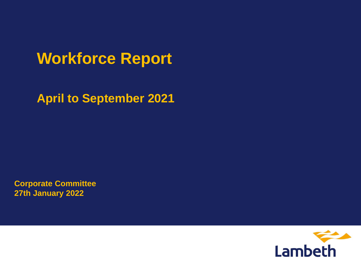# **Workforce Report**

**April to September 2021**

**Corporate Committee 27th January 2022**

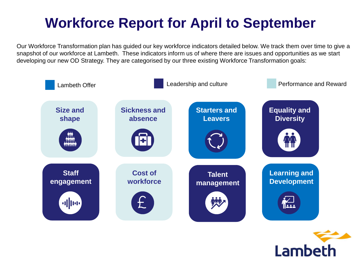# **Workforce Report for April to September**

Our Workforce Transformation plan has guided our key workforce indicators detailed below. We track them over time to give a snapshot of our workforce at Lambeth. These indicators inform us of where there are issues and opportunities as we start developing our new OD Strategy. They are categorised by our three existing Workforce Transformation goals:



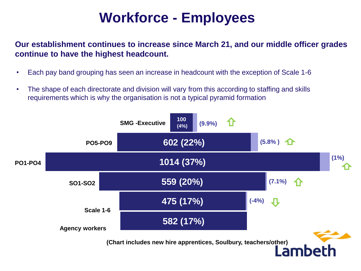# **Workforce - Employees**

**Our establishment continues to increase since March 21, and our middle officer grades continue to have the highest headcount.**

- Each pay band grouping has seen an increase in headcount with the exception of Scale 1-6
- The shape of each directorate and division will vary from this according to staffing and skills requirements which is why the organisation is not a typical pyramid formation

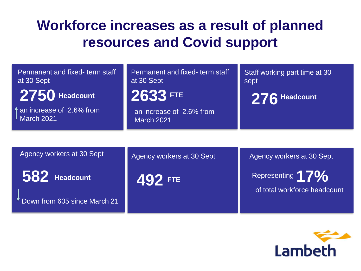## **Workforce increases as a result of planned resources and Covid support**

| Permanent and fixed-term staff<br>at 30 Sept | Permanent and fixed-term staff<br>at 30 Sept  | Staff working part time at 30<br>sept                                      |
|----------------------------------------------|-----------------------------------------------|----------------------------------------------------------------------------|
| 2750 Headcount                               | 2633 FTE                                      | 276 Headcount                                                              |
| an increase of 2.6% from<br>March 2021       | an increase of 2.6% from<br><b>March 2021</b> |                                                                            |
|                                              |                                               |                                                                            |
| Agency workers at 30 Sept                    | Agency workers at 30 Sept                     | Agency workers at 30 Sept                                                  |
| 582 Headcount                                | 492 FTE                                       | Representing <sup>1</sup> 7 <sup>0</sup> %<br>of total workforce headcount |

Down from 605 since March 21

Lambeth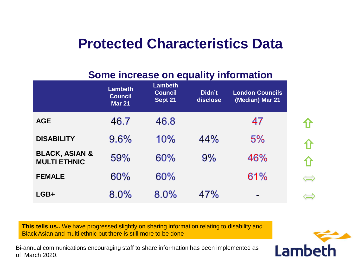### **Protected Characteristics Data**

### **Some increase on equality information**

|                                                  | <b>Lambeth</b><br><b>Council</b><br><b>Mar 21</b> | <b>Lambeth</b><br><b>Council</b><br>Sept 21 | Didn't<br>disclose | <b>London Councils</b><br>(Median) Mar 21 |
|--------------------------------------------------|---------------------------------------------------|---------------------------------------------|--------------------|-------------------------------------------|
| <b>AGE</b>                                       | 46.7                                              | 46.8                                        |                    | 47                                        |
| <b>DISABILITY</b>                                | 9.6%                                              | 10%                                         | 44%                | 5%                                        |
| <b>BLACK, ASIAN &amp;</b><br><b>MULTI ETHNIC</b> | 59%                                               | 60%                                         | 9%                 | 46%                                       |
| <b>FEMALE</b>                                    | 60%                                               | 60%                                         |                    | 61%                                       |
| $LGB+$                                           | 8.0%                                              | 8.0%                                        | 47%                | $\equiv$                                  |

**This tells us..** We have progressed slightly on sharing information relating to disability and Black Asian and multi ethnic but there is still more to be done

**Draft and multi-ethnic b**<br>communications enco Bi-annual communications encouraging staff to share information has been implemented as of March 2020.



 $\Longleftrightarrow$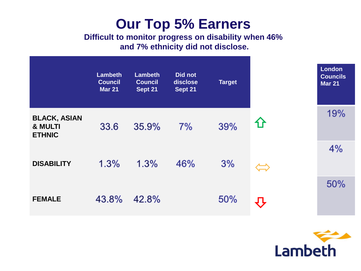### **Our Top 5% Earners**

### **Difficult to monitor progress on disability when 46% and 7% ethnicity did not disclose.**

|                                                            | <b>Lambeth</b><br><b>Council</b><br><b>Mar 21</b> | <b>Lambeth</b><br><b>Council</b><br>Sept 21 | Did not<br>disclose<br>Sept 21 | <b>Target</b> |                   | <b>London</b><br><b>Councils</b><br><b>Mar 21</b> |
|------------------------------------------------------------|---------------------------------------------------|---------------------------------------------|--------------------------------|---------------|-------------------|---------------------------------------------------|
| <b>BLACK, ASIAN</b><br><b>&amp; MULTI</b><br><b>ETHNIC</b> | 33.6                                              | 35.9%                                       | 7%                             | 39%           | <b>1)</b>         | 19%                                               |
| <b>DISABILITY</b>                                          | 1.3%                                              | 1.3%                                        | 46%                            | 3%            | $\Leftrightarrow$ | 4%                                                |
| <b>FEMALE</b>                                              | 43.8%                                             | 42.8%                                       |                                | 50%           |                   | 50%                                               |

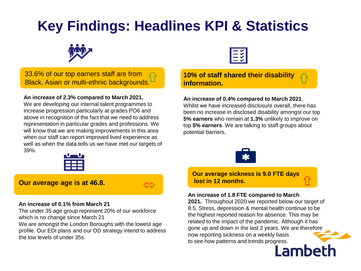# **Key Findings: Headlines KPI & Statistics**



**33.6% of our top earners staff are from** Black, Asian or multi-ethnic backgrounds.

**An increase of 2.3% compared to March 2021.**

We are developing our internal talent programmes to increase progression particularly at grades PO6 and above in recognition of the fact that we need to address representation in particular grades and professions. We will know that we are making improvements in this area when our staff can report improved lived experience as well as when the data tells us we have met our targets of 39%.



#### **Our average age is at 46.8.**

#### **An increase of 0.1% from March 21**

The under 35 age group represent 20% of our workforce which is no change since March 21

the low levels of under 35s.<br> **Dragger** We are amongst the London Boroughs with the lowest age profile. Our EDI plans and our OD strategy intend to address



#### **10% of staff shared their disability information.**

**An increase of 0.4% compared to March 2021**.

Whilst we have increased disclosure overall, there has been no increase in disclosed disability amongst our top **5% earners** who remain at **1.3%** unlikely to improve on top **5% earners**. We are talking to staff groups about potential barriers.



**Our average sickness is 9.0 FTE days lost in 12 months.** 

#### **An increase of 1.8 FTE compared to March**

**2021.** Throughout 2020 we reported below our target of 8.5. Stress, depression & mental health continue to be the highest reported reason for absence. This may be related to the impact of the pandemic. Although it has gone up and down in the last 2 years. We are therefore now reporting sickness on a weekly basis to see how patterns and trends progress.<br> **Amhath**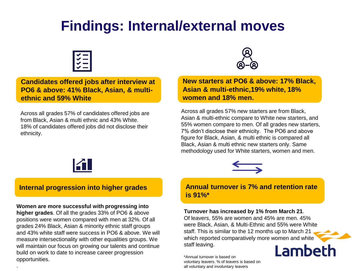### **Findings: Internal/external moves**



**Candidates offered jobs after interview at Candidates offered jobs after interview at PO6 & above: 41% Black, Asian, & multi-PO6 & above: 41% Black, Asian, & multiethnic and 59% White. ethnic and 59% White**

Across all grades 57% of candidates offered jobs are from Black, Asian & multi ethnic and 43% White. 18% of candidates offered jobs did not disclose their ethnicity.



#### **Internal progression into higher grades Internal progression into higher grades**

#### **Women are more successful with progressing into**

.

tersectionality with othe<br>n our focus on growing<br>prk to date to increase ca **higher grades**. Of all the grades 33% of PO6 & above positions were women compared with men at 32%. Of all grades 24% Black, Asian & minority ethnic staff groups and 43% white staff were success in PO6 & above. We will measure intersectionality with other equalities groups. We will maintain our focus on growing our talents and continue build on work to date to increase career progression opportunities.



**New starters at PO6 & above: 17% Black, New starters at PO6 & above: 17% Black, Asian & multi-ethnic,19% white, 18% Asian & multi-ethnic,19% white, 18% women and 18% men. women and 18% men.**

Across all grades 57% new starters are from Black, Asian & multi-ethnic compare to White new starters, and 55% women compare to men. Of all grades new starters, 7% didn't disclose their ethnicity. The PO6 and above figure for Black, Asian, & multi ethnic is compared all Black, Asian & multi ethnic new starters only. Same methodology used for White starters, women and men.



#### **Annual turnover is 7% and retention rate Annual turnover is 7% and retention rate is 91%\* is 91%\***

#### **Turnover has increased by 1% from March 21**.

Of leavers, 55% are women and 45% are men. 45% were Black, Asian, & Multi-Ethnic and 55% were White staff. This is similar to the 12 months up to March 21 which reported comparatively more women and white staff leaving. **Lambeth** 

\*Annual turnover is based on voluntary leavers. % of leavers is based on all voluntary and involuntary leavers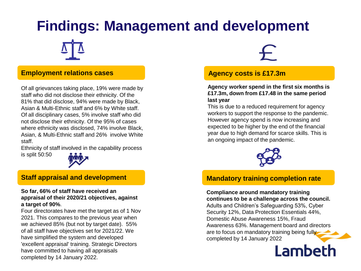# **Findings: Management and development**

#### **Employment relations cases**

Of all grievances taking place, 19% were made by staff who did not disclose their ethnicity. Of the 81% that did disclose, 94% were made by Black, Asian & Multi-Ethnic staff and 6% by White staff. Of all disciplinary cases, 5% involve staff who did not disclose their ethnicity. Of the 95% of cases where ethnicity was disclosed, 74% involve Black, Asian, & Multi-Ethnic staff and 26% involve White staff.

Ethnicity of staff involved in the capability process is split 50:50



#### **Staff appraisal and development**

#### **So far, 66% of staff have received an appraisal of their 2020/21 objectives, against a target of 90%**.

have simplified the system and developed<br>'excellent appraisal' training. Strategic Dire<br>have committed to having all appraisals Four directorates have met the target as of 1 Nov 2021. This compares to the previous year when we achieved 85% (but not by target date). 55% of all staff have objectives set for 2021/22. We 'excellent appraisal' training. Strategic Directors have committed to having all appraisals completed by 14 January 2022.

#### **Agency costs is £17.3m**

**Agency worker spend in the first six months is £17.3m, down from £17.48 in the same period last year** 

This is due to a reduced requirement for agency workers to support the response to the pandemic. However agency spend is now increasing and expected to be higher by the end of the financial year due to high demand for scarce skills. This is an ongoing impact of the pandemic.



#### **Mandatory training completion rate**

**Compliance around mandatory training continues to be a challenge across the council.** Adults and Children's Safeguarding 53%, Cyber Security 12%, Data Protection Essentials 44%, Domestic Abuse Awareness 15%, Fraud Awareness 63%. Management board and directors are to focus on mandatory training being fully completed by 14 January 2022

**Lambeth**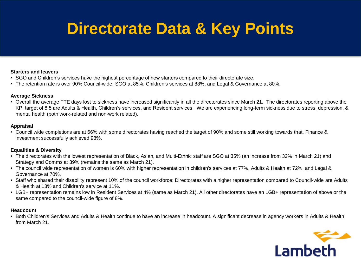# **Directorate Data & Key Points Directorate Data & Key Points**

#### **Starters and leavers**

- SGO and Children's services have the highest percentage of new starters compared to their directorate size.
- The retention rate is over 90% Council-wide. SGO at 85%, Children's services at 88%, and Legal & Governance at 80%.

#### **Average Sickness**

• Overall the average FTE days lost to sickness have increased significantly in all the directorates since March 21. The directorates reporting above the KPI target of 8.5 are Adults & Health, Children's services, and Resident services. We are experiencing long-term sickness due to stress, depression, & mental health (both work-related and non-work related).

#### **Appraisal**

• Council wide completions are at 66% with some directorates having reached the target of 90% and some still working towards that. Finance & investment successfully achieved 98%.

#### **Equalities & Diversity**

- The directorates with the lowest representation of Black, Asian, and Multi-Ethnic staff are SGO at 35% (an increase from 32% in March 21) and Strategy and Comms at 39% (remains the same as March 21).
- The council wide representation of women is 60% with higher representation in children's services at 77%, Adults & Health at 72%, and Legal & Governance at 70%.
- Staff who shared their disability represent 10% of the council workforce: Directorates with a higher representation compared to Council-wide are Adults & Health at 13% and Children's service at 11%.
- LGB+ representation remains low in Resident Services at 4% (same as March 21). All other directorates have an LGB+ representation of above or the same compared to the council-wide figure of 8%.

#### **Headcount**

• Both Children's Services and Adults & Health continue to have an increase in headcount. A significant decrease in agency workers in Adults & Health from March 21.

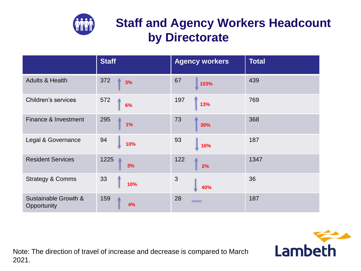

### **Staff and Agency Workers Headcount by Directorate**

|                                     | <b>Staff</b> | <b>Agency workers</b> | <b>Total</b> |
|-------------------------------------|--------------|-----------------------|--------------|
| <b>Adults &amp; Health</b>          | 372<br>3%    | 67<br>103%            | 439          |
| <b>Children's services</b>          | 572<br>6%    | 197<br>13%            | 769          |
| Finance & Investment                | 295<br>1%    | 73<br>30%             | 368          |
| Legal & Governance                  | 94<br>10%    | 93<br>16%             | 187          |
| <b>Resident Services</b>            | 1225<br>3%   | 122<br>2%             | 1347         |
| <b>Strategy &amp; Comms</b>         | 33<br>10%    | 3<br>40%              | 36           |
| Sustainable Growth &<br>Opportunity | 159<br>4%    | 28                    | 187          |

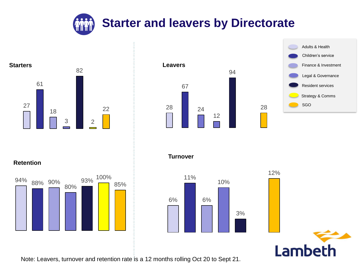







**Turnover**





28



**Retention**



Note: Leavers, turnover and retention rate is a 12 months rolling Oct 20 to Sept 21.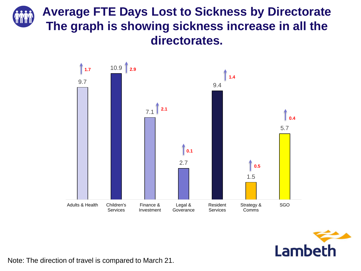### **Average FTE Days Lost to Sickness by Directorate The graph is showing sickness increase in all the directorates.**





Note: The direction of travel is compared to March 21.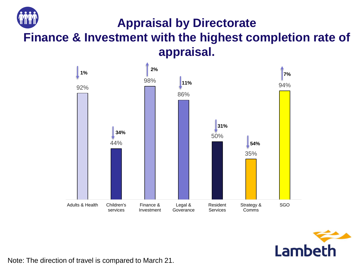### **Appraisal by Directorate**

**Finance & Investment with the highest completion rate of appraisal.**





Note: The direction of travel is compared to March 21.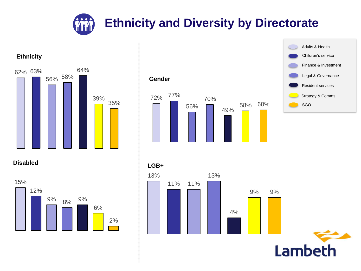**Ethnicity and Diversity by Directorate** 

# 62% 63% 56% 58% 64% 39% 35%





**Disabled**

**Ethnicity**





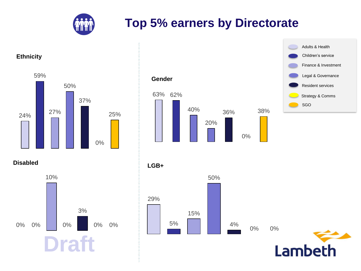

### **Top 5% earners by Directorate**

#### **Ethnicity**







**Disabled**